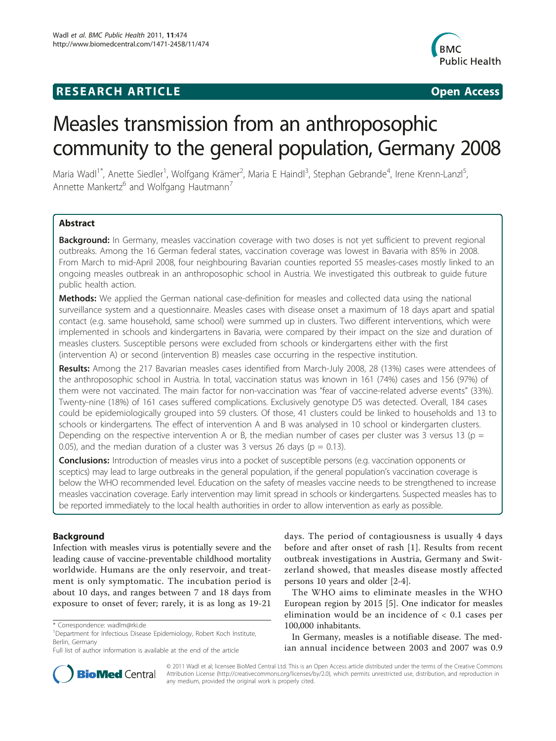# **RESEARCH ARTICLE Example 2018 12:30 THE Open Access**



# Measles transmission from an anthroposophic community to the general population, Germany 2008

Maria Wadl<sup>1\*</sup>, Anette Siedler<sup>1</sup>, Wolfgang Krämer<sup>2</sup>, Maria E Haindl<sup>3</sup>, Stephan Gebrande<sup>4</sup>, Irene Krenn-Lanzl<sup>5</sup> , Annette Mankertz<sup>6</sup> and Wolfgang Hautmann<sup>7</sup>

# Abstract

Background: In Germany, measles vaccination coverage with two doses is not yet sufficient to prevent regional outbreaks. Among the 16 German federal states, vaccination coverage was lowest in Bavaria with 85% in 2008. From March to mid-April 2008, four neighbouring Bavarian counties reported 55 measles-cases mostly linked to an ongoing measles outbreak in an anthroposophic school in Austria. We investigated this outbreak to guide future public health action.

Methods: We applied the German national case-definition for measles and collected data using the national surveillance system and a questionnaire. Measles cases with disease onset a maximum of 18 days apart and spatial contact (e.g. same household, same school) were summed up in clusters. Two different interventions, which were implemented in schools and kindergartens in Bavaria, were compared by their impact on the size and duration of measles clusters. Susceptible persons were excluded from schools or kindergartens either with the first (intervention A) or second (intervention B) measles case occurring in the respective institution.

Results: Among the 217 Bavarian measles cases identified from March-July 2008, 28 (13%) cases were attendees of the anthroposophic school in Austria. In total, vaccination status was known in 161 (74%) cases and 156 (97%) of them were not vaccinated. The main factor for non-vaccination was "fear of vaccine-related adverse events" (33%). Twenty-nine (18%) of 161 cases suffered complications. Exclusively genotype D5 was detected. Overall, 184 cases could be epidemiologically grouped into 59 clusters. Of those, 41 clusters could be linked to households and 13 to schools or kindergartens. The effect of intervention A and B was analysed in 10 school or kindergarten clusters. Depending on the respective intervention A or B, the median number of cases per cluster was 3 versus 13 ( $p =$ 0.05), and the median duration of a cluster was 3 versus 26 days ( $p = 0.13$ ).

**Conclusions:** Introduction of measles virus into a pocket of susceptible persons (e.g. vaccination opponents or sceptics) may lead to large outbreaks in the general population, if the general population's vaccination coverage is below the WHO recommended level. Education on the safety of measles vaccine needs to be strengthened to increase measles vaccination coverage. Early intervention may limit spread in schools or kindergartens. Suspected measles has to be reported immediately to the local health authorities in order to allow intervention as early as possible.

# Background

Infection with measles virus is potentially severe and the leading cause of vaccine-preventable childhood mortality worldwide. Humans are the only reservoir, and treatment is only symptomatic. The incubation period is about 10 days, and ranges between 7 and 18 days from exposure to onset of fever; rarely, it is as long as 19-21

days. The period of contagiousness is usually 4 days before and after onset of rash [[1](#page-7-0)]. Results from recent outbreak investigations in Austria, Germany and Switzerland showed, that measles disease mostly affected persons 10 years and older [\[2](#page-7-0)-[4\]](#page-7-0).

The WHO aims to eliminate measles in the WHO European region by 2015 [[5](#page-7-0)]. One indicator for measles elimination would be an incidence of < 0.1 cases per 100,000 inhabitants.

In Germany, measles is a notifiable disease. The median annual incidence between 2003 and 2007 was 0.9



© 2011 Wadl et al; licensee BioMed Central Ltd. This is an Open Access article distributed under the terms of the Creative Commons Attribution License [\(http://creativecommons.org/licenses/by/2.0](http://creativecommons.org/licenses/by/2.0)), which permits unrestricted use, distribution, and reproduction in any medium, provided the original work is properly cited.

<sup>\*</sup> Correspondence: [wadlm@rki.de](mailto:wadlm@rki.de)

<sup>&</sup>lt;sup>1</sup>Department for Infectious Disease Epidemiology, Robert Koch Institute, Berlin, Germany

Full list of author information is available at the end of the article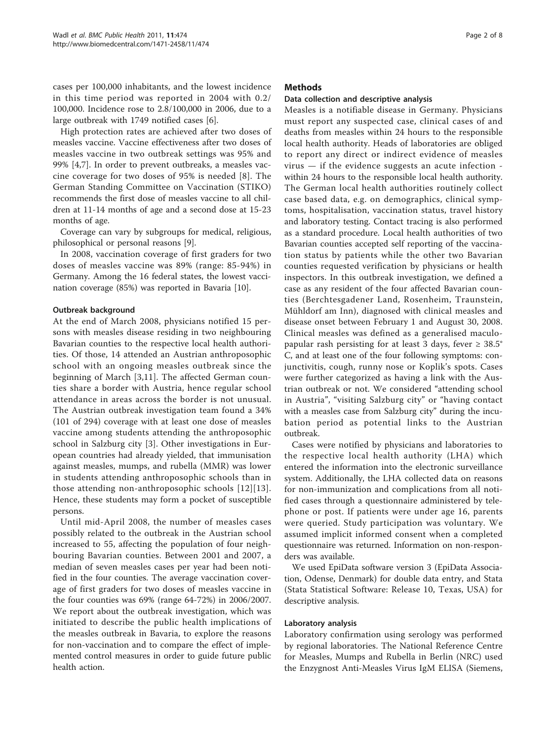cases per 100,000 inhabitants, and the lowest incidence in this time period was reported in 2004 with 0.2/ 100,000. Incidence rose to 2.8/100,000 in 2006, due to a large outbreak with 1749 notified cases [[6\]](#page-7-0).

High protection rates are achieved after two doses of measles vaccine. Vaccine effectiveness after two doses of measles vaccine in two outbreak settings was 95% and 99% [[4,7](#page-7-0)]. In order to prevent outbreaks, a measles vaccine coverage for two doses of 95% is needed [[8\]](#page-7-0). The German Standing Committee on Vaccination (STIKO) recommends the first dose of measles vaccine to all children at 11-14 months of age and a second dose at 15-23 months of age.

Coverage can vary by subgroups for medical, religious, philosophical or personal reasons [\[9](#page-7-0)].

In 2008, vaccination coverage of first graders for two doses of measles vaccine was 89% (range: 85-94%) in Germany. Among the 16 federal states, the lowest vaccination coverage (85%) was reported in Bavaria [[10\]](#page-7-0).

# Outbreak background

At the end of March 2008, physicians notified 15 persons with measles disease residing in two neighbouring Bavarian counties to the respective local health authorities. Of those, 14 attended an Austrian anthroposophic school with an ongoing measles outbreak since the beginning of March [[3,11](#page-7-0)]. The affected German counties share a border with Austria, hence regular school attendance in areas across the border is not unusual. The Austrian outbreak investigation team found a 34% (101 of 294) coverage with at least one dose of measles vaccine among students attending the anthroposophic school in Salzburg city [[3\]](#page-7-0). Other investigations in European countries had already yielded, that immunisation against measles, mumps, and rubella (MMR) was lower in students attending anthroposophic schools than in those attending non-anthroposophic schools [[12\]](#page-7-0)[[13\]](#page-7-0). Hence, these students may form a pocket of susceptible persons.

Until mid-April 2008, the number of measles cases possibly related to the outbreak in the Austrian school increased to 55, affecting the population of four neighbouring Bavarian counties. Between 2001 and 2007, a median of seven measles cases per year had been notified in the four counties. The average vaccination coverage of first graders for two doses of measles vaccine in the four counties was 69% (range 64-72%) in 2006/2007. We report about the outbreak investigation, which was initiated to describe the public health implications of the measles outbreak in Bavaria, to explore the reasons for non-vaccination and to compare the effect of implemented control measures in order to guide future public health action.

# Methods

# Data collection and descriptive analysis

Measles is a notifiable disease in Germany. Physicians must report any suspected case, clinical cases of and deaths from measles within 24 hours to the responsible local health authority. Heads of laboratories are obliged to report any direct or indirect evidence of measles virus — if the evidence suggests an acute infection within 24 hours to the responsible local health authority. The German local health authorities routinely collect case based data, e.g. on demographics, clinical symptoms, hospitalisation, vaccination status, travel history and laboratory testing. Contact tracing is also performed as a standard procedure. Local health authorities of two Bavarian counties accepted self reporting of the vaccination status by patients while the other two Bavarian counties requested verification by physicians or health inspectors. In this outbreak investigation, we defined a case as any resident of the four affected Bavarian counties (Berchtesgadener Land, Rosenheim, Traunstein, Mühldorf am Inn), diagnosed with clinical measles and disease onset between February 1 and August 30, 2008. Clinical measles was defined as a generalised maculopapular rash persisting for at least 3 days, fever  $\geq 38.5^{\circ}$ C, and at least one of the four following symptoms: conjunctivitis, cough, runny nose or Koplik's spots. Cases were further categorized as having a link with the Austrian outbreak or not. We considered "attending school in Austria", "visiting Salzburg city" or "having contact with a measles case from Salzburg city" during the incubation period as potential links to the Austrian outbreak.

Cases were notified by physicians and laboratories to the respective local health authority (LHA) which entered the information into the electronic surveillance system. Additionally, the LHA collected data on reasons for non-immunization and complications from all notified cases through a questionnaire administered by telephone or post. If patients were under age 16, parents were queried. Study participation was voluntary. We assumed implicit informed consent when a completed questionnaire was returned. Information on non-responders was available.

We used EpiData software version 3 (EpiData Association, Odense, Denmark) for double data entry, and Stata (Stata Statistical Software: Release 10, Texas, USA) for descriptive analysis.

#### Laboratory analysis

Laboratory confirmation using serology was performed by regional laboratories. The National Reference Centre for Measles, Mumps and Rubella in Berlin (NRC) used the Enzygnost Anti-Measles Virus IgM ELISA (Siemens,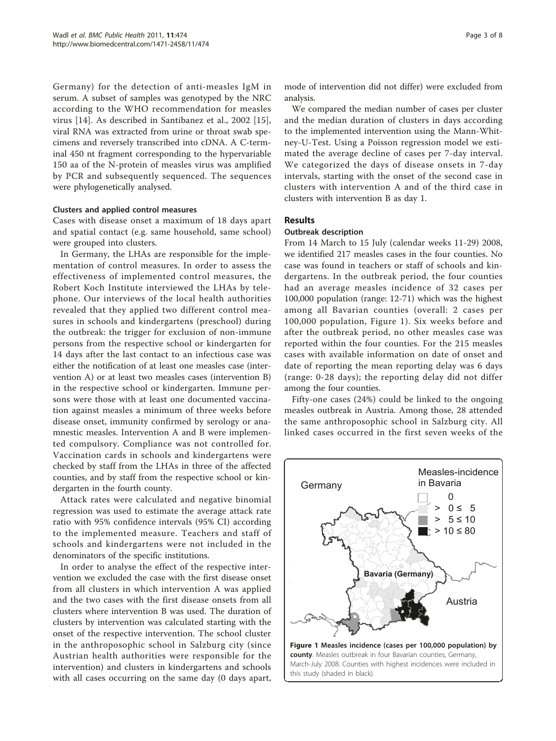Germany) for the detection of anti-measles IgM in serum. A subset of samples was genotyped by the NRC according to the WHO recommendation for measles virus [[14](#page-7-0)]. As described in Santibanez et al., 2002 [[15](#page-7-0)], viral RNA was extracted from urine or throat swab specimens and reversely transcribed into cDNA. A C-terminal 450 nt fragment corresponding to the hypervariable 150 aa of the N-protein of measles virus was amplified by PCR and subsequently sequenced. The sequences were phylogenetically analysed.

# Clusters and applied control measures

Cases with disease onset a maximum of 18 days apart and spatial contact (e.g. same household, same school) were grouped into clusters.

In Germany, the LHAs are responsible for the implementation of control measures. In order to assess the effectiveness of implemented control measures, the Robert Koch Institute interviewed the LHAs by telephone. Our interviews of the local health authorities revealed that they applied two different control measures in schools and kindergartens (preschool) during the outbreak: the trigger for exclusion of non-immune persons from the respective school or kindergarten for 14 days after the last contact to an infectious case was either the notification of at least one measles case (intervention A) or at least two measles cases (intervention B) in the respective school or kindergarten. Immune persons were those with at least one documented vaccination against measles a minimum of three weeks before disease onset, immunity confirmed by serology or anamnestic measles. Intervention A and B were implemented compulsory. Compliance was not controlled for. Vaccination cards in schools and kindergartens were checked by staff from the LHAs in three of the affected counties, and by staff from the respective school or kindergarten in the fourth county.

Attack rates were calculated and negative binomial regression was used to estimate the average attack rate ratio with 95% confidence intervals (95% CI) according to the implemented measure. Teachers and staff of schools and kindergartens were not included in the denominators of the specific institutions.

In order to analyse the effect of the respective intervention we excluded the case with the first disease onset from all clusters in which intervention A was applied and the two cases with the first disease onsets from all clusters where intervention B was used. The duration of clusters by intervention was calculated starting with the onset of the respective intervention. The school cluster in the anthroposophic school in Salzburg city (since Austrian health authorities were responsible for the intervention) and clusters in kindergartens and schools with all cases occurring on the same day (0 days apart,

mode of intervention did not differ) were excluded from analysis.

We compared the median number of cases per cluster and the median duration of clusters in days according to the implemented intervention using the Mann-Whitney-U-Test. Using a Poisson regression model we estimated the average decline of cases per 7-day interval. We categorized the days of disease onsets in 7-day intervals, starting with the onset of the second case in clusters with intervention A and of the third case in clusters with intervention B as day 1.

# **Results**

#### Outbreak description

From 14 March to 15 July (calendar weeks 11-29) 2008, we identified 217 measles cases in the four counties. No case was found in teachers or staff of schools and kindergartens. In the outbreak period, the four counties had an average measles incidence of 32 cases per 100,000 population (range: 12-71) which was the highest among all Bavarian counties (overall: 2 cases per 100,000 population, Figure 1). Six weeks before and after the outbreak period, no other measles case was reported within the four counties. For the 215 measles cases with available information on date of onset and date of reporting the mean reporting delay was 6 days (range: 0-28 days); the reporting delay did not differ among the four counties.

Fifty-one cases (24%) could be linked to the ongoing measles outbreak in Austria. Among those, 28 attended the same anthroposophic school in Salzburg city. All linked cases occurred in the first seven weeks of the

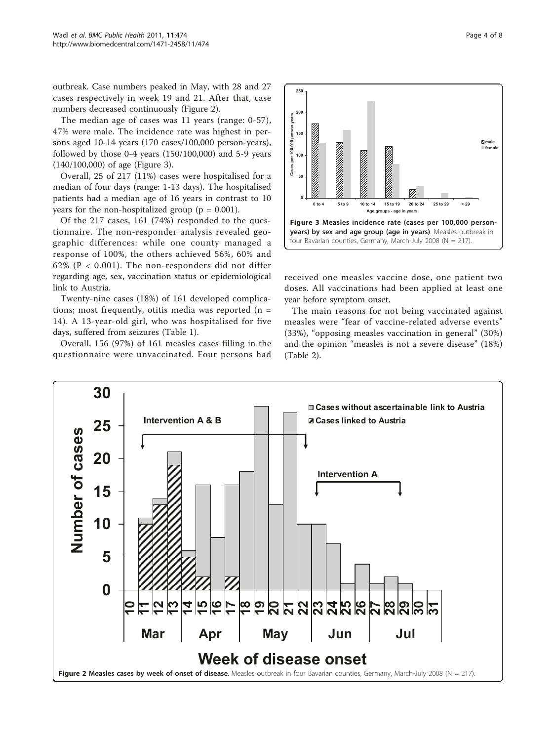<span id="page-3-0"></span>outbreak. Case numbers peaked in May, with 28 and 27 cases respectively in week 19 and 21. After that, case numbers decreased continuously (Figure 2).

The median age of cases was 11 years (range: 0-57), 47% were male. The incidence rate was highest in persons aged 10-14 years (170 cases/100,000 person-years), followed by those 0-4 years (150/100,000) and 5-9 years (140/100,000) of age (Figure 3).

Overall, 25 of 217 (11%) cases were hospitalised for a median of four days (range: 1-13 days). The hospitalised patients had a median age of 16 years in contrast to 10 years for the non-hospitalized group ( $p = 0.001$ ).

Of the 217 cases, 161 (74%) responded to the questionnaire. The non-responder analysis revealed geographic differences: while one county managed a response of 100%, the others achieved 56%, 60% and 62% (P < 0.001). The non-responders did not differ regarding age, sex, vaccination status or epidemiological link to Austria.

Twenty-nine cases (18%) of 161 developed complications; most frequently, otitis media was reported  $(n =$ 14). A 13-year-old girl, who was hospitalised for five days, suffered from seizures (Table [1\)](#page-4-0).

Overall, 156 (97%) of 161 measles cases filling in the questionnaire were unvaccinated. Four persons had



received one measles vaccine dose, one patient two doses. All vaccinations had been applied at least one year before symptom onset.

The main reasons for not being vaccinated against measles were "fear of vaccine-related adverse events" (33%), "opposing measles vaccination in general" (30%) and the opinion "measles is not a severe disease" (18%) (Table [2\)](#page-4-0).

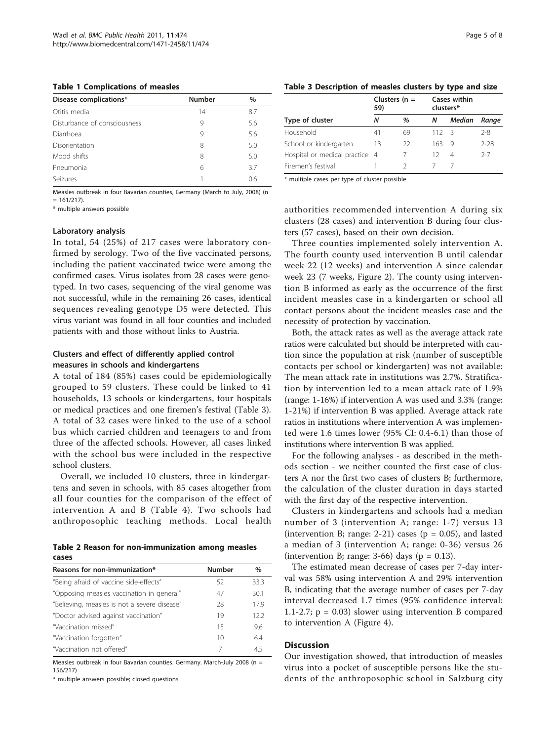<span id="page-4-0"></span>Table 1 Complications of measles

| Disease complications*       | <b>Number</b> | $\%$ |
|------------------------------|---------------|------|
| Otitis media                 | 14            | 8.7  |
| Disturbance of consciousness | 9             | 5.6  |
| Diarrhoea                    | 9             | 5.6  |
| Disorientation               | 8             | 5.0  |
| Mood shifts                  | 8             | 5.0  |
| Pneumonia                    | 6             | 3.7  |
| Seizures                     |               | 0.6  |

Measles outbreak in four Bavarian counties, Germany (March to July, 2008) (n  $= 161/217$ ).

\* multiple answers possible

#### Laboratory analysis

In total, 54 (25%) of 217 cases were laboratory confirmed by serology. Two of the five vaccinated persons, including the patient vaccinated twice were among the confirmed cases. Virus isolates from 28 cases were genotyped. In two cases, sequencing of the viral genome was not successful, while in the remaining 26 cases, identical sequences revealing genotype D5 were detected. This virus variant was found in all four counties and included patients with and those without links to Austria.

# Clusters and effect of differently applied control measures in schools and kindergartens

A total of 184 (85%) cases could be epidemiologically grouped to 59 clusters. These could be linked to 41 households, 13 schools or kindergartens, four hospitals or medical practices and one firemen's festival (Table 3). A total of 32 cases were linked to the use of a school bus which carried children and teenagers to and from three of the affected schools. However, all cases linked with the school bus were included in the respective school clusters.

Overall, we included 10 clusters, three in kindergartens and seven in schools, with 85 cases altogether from all four counties for the comparison of the effect of intervention A and B (Table [4\)](#page-5-0). Two schools had anthroposophic teaching methods. Local health

Table 2 Reason for non-immunization among measles cases

| Reasons for non-immunization*                | <b>Number</b> | $\%$ |
|----------------------------------------------|---------------|------|
| "Being afraid of vaccine side-effects"       | 52            | 33.3 |
| "Opposing measles vaccination in general"    | 47            | 30.1 |
| "Believing, measles is not a severe disease" | 28            | 17.9 |
| "Doctor advised against vaccination"         | 19            | 122  |
| "Vaccination missed"                         | 15            | 9.6  |
| "Vaccination forgotten"                      | 10            | 6.4  |
| "Vaccination not offered"                    |               | 45   |

Measles outbreak in four Bavarian counties. Germany. March-July 2008 (n = 156/217)

\* multiple answers possible; closed questions

# Table 3 Description of measles clusters by type and size

|                                | Clusters $(n =$<br>59) |    | Cases within<br>clusters* |                |         |
|--------------------------------|------------------------|----|---------------------------|----------------|---------|
| Type of cluster                | Ν                      | %  | Ν                         | Median         | Ranae   |
| Household                      | 41                     | 69 | 1123                      |                | $2 - 8$ |
| School or kindergarten         | 13                     | 22 | 163                       | q              | $2-28$  |
| Hospital or medical practice 4 |                        |    | 12.                       | $\overline{4}$ | $2 - 7$ |
| Firemen's festival             |                        |    |                           |                |         |

\* multiple cases per type of cluster possible

authorities recommended intervention A during six clusters (28 cases) and intervention B during four clusters (57 cases), based on their own decision.

Three counties implemented solely intervention A. The fourth county used intervention B until calendar week 22 (12 weeks) and intervention A since calendar week 23 (7 weeks, Figure [2\)](#page-3-0). The county using intervention B informed as early as the occurrence of the first incident measles case in a kindergarten or school all contact persons about the incident measles case and the necessity of protection by vaccination.

Both, the attack rates as well as the average attack rate ratios were calculated but should be interpreted with caution since the population at risk (number of susceptible contacts per school or kindergarten) was not available: The mean attack rate in institutions was 2.7%. Stratification by intervention led to a mean attack rate of 1.9% (range: 1-16%) if intervention A was used and 3.3% (range: 1-21%) if intervention B was applied. Average attack rate ratios in institutions where intervention A was implemented were 1.6 times lower (95% CI: 0.4-6.1) than those of institutions where intervention B was applied.

For the following analyses - as described in the methods section - we neither counted the first case of clusters A nor the first two cases of clusters B; furthermore, the calculation of the cluster duration in days started with the first day of the respective intervention.

Clusters in kindergartens and schools had a median number of 3 (intervention A; range: 1-7) versus 13 (intervention B; range: 2-21) cases ( $p = 0.05$ ), and lasted a median of 3 (intervention A; range: 0-36) versus 26 (intervention B; range: 3-66) days ( $p = 0.13$ ).

The estimated mean decrease of cases per 7-day interval was 58% using intervention A and 29% intervention B, indicating that the average number of cases per 7-day interval decreased 1.7 times (95% confidence interval: 1.1-2.7;  $p = 0.03$ ) slower using intervention B compared to intervention A (Figure [4](#page-5-0)).

#### **Discussion**

Our investigation showed, that introduction of measles virus into a pocket of susceptible persons like the students of the anthroposophic school in Salzburg city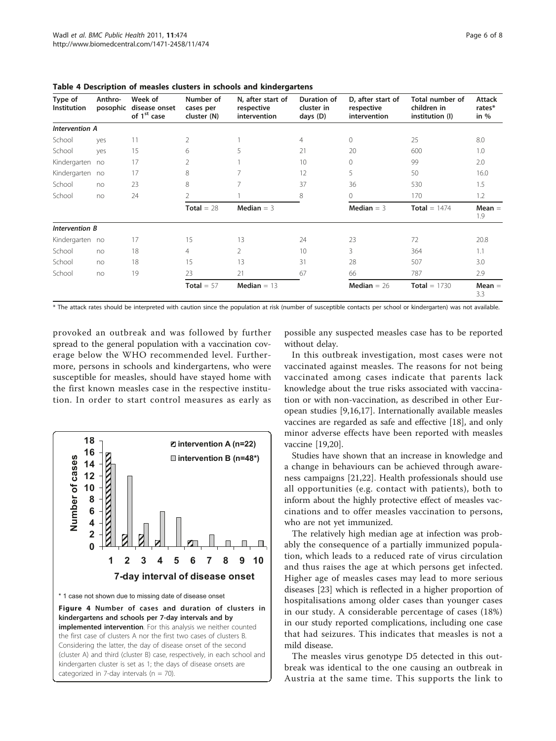| Type of<br><b>Institution</b> | Anthro-<br>posophic | Week of<br>disease onset<br>of 1 <sup>st</sup> case | Number of<br>cases per<br>cluster (N) | N, after start of<br>respective<br>intervention | Duration of<br>cluster in<br>days (D) | D, after start of<br>respective<br>intervention | Total number of<br>children in<br>institution (I) | <b>Attack</b><br>rates*<br>in % |
|-------------------------------|---------------------|-----------------------------------------------------|---------------------------------------|-------------------------------------------------|---------------------------------------|-------------------------------------------------|---------------------------------------------------|---------------------------------|
| <b>Intervention A</b>         |                     |                                                     |                                       |                                                 |                                       |                                                 |                                                   |                                 |
| School                        | yes                 | 11                                                  | 2                                     |                                                 | $\overline{4}$                        | $\circ$                                         | 25                                                | 8.0                             |
| School                        | yes                 | 15                                                  | 6                                     | 5                                               | 21                                    | 20                                              | 600                                               | 1.0                             |
| Kindergarten                  | no                  | 17                                                  | 2                                     |                                                 | 10                                    | 0                                               | 99                                                | 2.0                             |
| Kindergarten                  | no                  | 17                                                  | 8                                     |                                                 | 12                                    | 5                                               | 50                                                | 16.0                            |
| School                        | no                  | 23                                                  | 8                                     |                                                 | 37                                    | 36                                              | 530                                               | 1.5                             |
| School                        | no                  | 24                                                  | 2                                     |                                                 | 8                                     | $\Omega$                                        | 170                                               | 1.2                             |
|                               |                     |                                                     | <b>Total</b> = $28$                   | Median $=$ 3                                    |                                       | Median $=$ 3                                    | Total = $1474$                                    | $Mean =$<br>1.9                 |
| <b>Intervention B</b>         |                     |                                                     |                                       |                                                 |                                       |                                                 |                                                   |                                 |
| Kindergarten no               |                     | 17                                                  | 15                                    | 13                                              | 24                                    | 23                                              | 72                                                | 20.8                            |
| School                        | no                  | 18                                                  | $\overline{4}$                        | $\overline{2}$                                  | 10                                    | 3                                               | 364                                               | 1.1                             |
| School                        | no                  | 18                                                  | 15                                    | 13                                              | 31                                    | 28                                              | 507                                               | 3.0                             |
| School                        | no                  | 19                                                  | 23                                    | 21                                              | 67                                    | 66                                              | 787                                               | 2.9                             |
|                               |                     |                                                     | <b>Total</b> = $57$                   | <b>Median</b> = $13$                            |                                       | <b>Median</b> = $26$                            | <b>Total</b> = $1730$                             | $Mean =$<br>3.3                 |

<span id="page-5-0"></span>

| Table 4 Description of measles clusters in schools and kindergartens |  |  |
|----------------------------------------------------------------------|--|--|
|----------------------------------------------------------------------|--|--|

\* The attack rates should be interpreted with caution since the population at risk (number of susceptible contacts per school or kindergarten) was not available.

provoked an outbreak and was followed by further spread to the general population with a vaccination coverage below the WHO recommended level. Furthermore, persons in schools and kindergartens, who were susceptible for measles, should have stayed home with the first known measles case in the respective institution. In order to start control measures as early as



possible any suspected measles case has to be reported without delay.

In this outbreak investigation, most cases were not vaccinated against measles. The reasons for not being vaccinated among cases indicate that parents lack knowledge about the true risks associated with vaccination or with non-vaccination, as described in other European studies [\[9](#page-7-0),[16](#page-7-0),[17](#page-7-0)]. Internationally available measles vaccines are regarded as safe and effective [[18](#page-7-0)], and only minor adverse effects have been reported with measles vaccine [\[19,20\]](#page-7-0).

Studies have shown that an increase in knowledge and a change in behaviours can be achieved through awareness campaigns [[21,22\]](#page-7-0). Health professionals should use all opportunities (e.g. contact with patients), both to inform about the highly protective effect of measles vaccinations and to offer measles vaccination to persons, who are not yet immunized.

The relatively high median age at infection was probably the consequence of a partially immunized population, which leads to a reduced rate of virus circulation and thus raises the age at which persons get infected. Higher age of measles cases may lead to more serious diseases [\[23](#page-7-0)] which is reflected in a higher proportion of hospitalisations among older cases than younger cases in our study. A considerable percentage of cases (18%) in our study reported complications, including one case that had seizures. This indicates that measles is not a mild disease.

The measles virus genotype D5 detected in this outbreak was identical to the one causing an outbreak in Austria at the same time. This supports the link to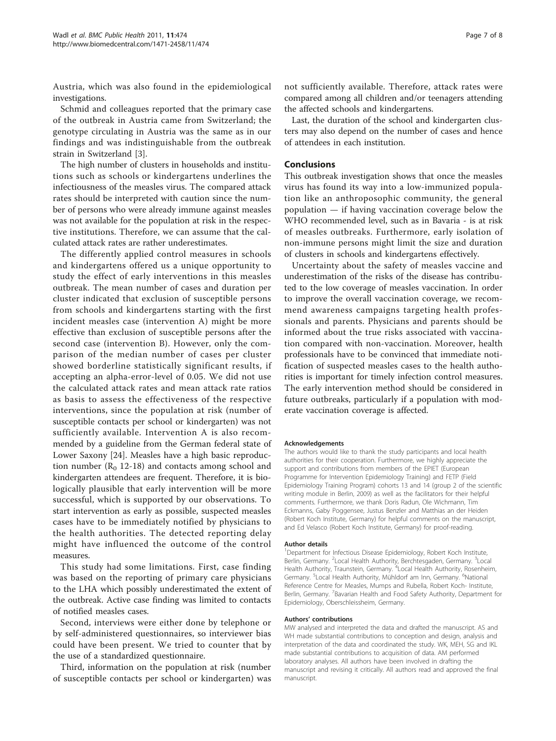Austria, which was also found in the epidemiological investigations.

Schmid and colleagues reported that the primary case of the outbreak in Austria came from Switzerland; the genotype circulating in Austria was the same as in our findings and was indistinguishable from the outbreak strain in Switzerland [[3\]](#page-7-0).

The high number of clusters in households and institutions such as schools or kindergartens underlines the infectiousness of the measles virus. The compared attack rates should be interpreted with caution since the number of persons who were already immune against measles was not available for the population at risk in the respective institutions. Therefore, we can assume that the calculated attack rates are rather underestimates.

The differently applied control measures in schools and kindergartens offered us a unique opportunity to study the effect of early interventions in this measles outbreak. The mean number of cases and duration per cluster indicated that exclusion of susceptible persons from schools and kindergartens starting with the first incident measles case (intervention A) might be more effective than exclusion of susceptible persons after the second case (intervention B). However, only the comparison of the median number of cases per cluster showed borderline statistically significant results, if accepting an alpha-error-level of 0.05. We did not use the calculated attack rates and mean attack rate ratios as basis to assess the effectiveness of the respective interventions, since the population at risk (number of susceptible contacts per school or kindergarten) was not sufficiently available. Intervention A is also recommended by a guideline from the German federal state of Lower Saxony [\[24](#page-7-0)]. Measles have a high basic reproduction number  $(R_0 12-18)$  and contacts among school and kindergarten attendees are frequent. Therefore, it is biologically plausible that early intervention will be more successful, which is supported by our observations. To start intervention as early as possible, suspected measles cases have to be immediately notified by physicians to the health authorities. The detected reporting delay might have influenced the outcome of the control measures.

This study had some limitations. First, case finding was based on the reporting of primary care physicians to the LHA which possibly underestimated the extent of the outbreak. Active case finding was limited to contacts of notified measles cases.

Second, interviews were either done by telephone or by self-administered questionnaires, so interviewer bias could have been present. We tried to counter that by the use of a standardized questionnaire.

Third, information on the population at risk (number of susceptible contacts per school or kindergarten) was not sufficiently available. Therefore, attack rates were compared among all children and/or teenagers attending the affected schools and kindergartens.

Last, the duration of the school and kindergarten clusters may also depend on the number of cases and hence of attendees in each institution.

#### **Conclusions**

This outbreak investigation shows that once the measles virus has found its way into a low-immunized population like an anthroposophic community, the general population — if having vaccination coverage below the WHO recommended level, such as in Bavaria - is at risk of measles outbreaks. Furthermore, early isolation of non-immune persons might limit the size and duration of clusters in schools and kindergartens effectively.

Uncertainty about the safety of measles vaccine and underestimation of the risks of the disease has contributed to the low coverage of measles vaccination. In order to improve the overall vaccination coverage, we recommend awareness campaigns targeting health professionals and parents. Physicians and parents should be informed about the true risks associated with vaccination compared with non-vaccination. Moreover, health professionals have to be convinced that immediate notification of suspected measles cases to the health authorities is important for timely infection control measures. The early intervention method should be considered in future outbreaks, particularly if a population with moderate vaccination coverage is affected.

#### Acknowledgements

The authors would like to thank the study participants and local health authorities for their cooperation. Furthermore, we highly appreciate the support and contributions from members of the EPIET (European Programme for Intervention Epidemiology Training) and FETP (Field Epidemiology Training Program) cohorts 13 and 14 (group 2 of the scientific writing module in Berlin, 2009) as well as the facilitators for their helpful comments. Furthermore, we thank Doris Radun, Ole Wichmann, Tim Eckmanns, Gaby Poggensee, Justus Benzler and Matthias an der Heiden (Robert Koch Institute, Germany) for helpful comments on the manuscript, and Ed Velasco (Robert Koch Institute, Germany) for proof-reading.

#### Author details

<sup>1</sup>Department for Infectious Disease Epidemiology, Robert Koch Institute, Berlin, Germany. <sup>2</sup> Local Health Authority, Berchtesgaden, Germany. <sup>3</sup> Local Health Authority, Traunstein, Germany. <sup>4</sup>Local Health Authority, Rosenheim, Germany. <sup>5</sup>Local Health Authority, Mühldorf am Inn, Germany. <sup>6</sup>National Reference Centre for Measles, Mumps and Rubella, Robert Koch- Institute, Berlin, Germany. <sup>7</sup> Bavarian Health and Food Safety Authority, Department for Epidemiology, Oberschleissheim, Germany.

#### Authors' contributions

MW analysed and interpreted the data and drafted the manuscript. AS and WH made substantial contributions to conception and design, analysis and interpretation of the data and coordinated the study. WK, MEH, SG and IKL made substantial contributions to acquisition of data. AM performed laboratory analyses. All authors have been involved in drafting the manuscript and revising it critically. All authors read and approved the final manuscript.